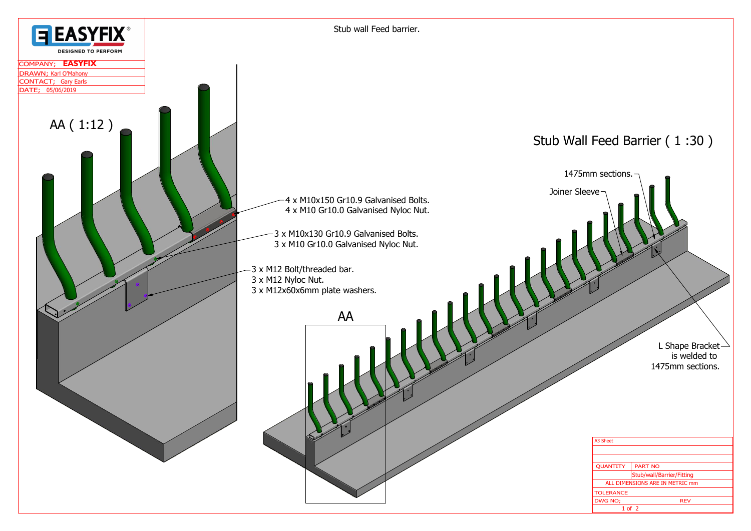

| A3 Sheet                        |                           |
|---------------------------------|---------------------------|
|                                 |                           |
|                                 |                           |
| <b>OUANTITY</b>                 | <b>PART NO</b>            |
|                                 | Stub/wall/Barrier/Fitting |
| ALL DIMENSIONS ARE IN METRIC mm |                           |
| <b>TOLERANCE</b>                |                           |
| DWG NO;                         | <b>REV</b>                |
| $1$ of $2$                      |                           |